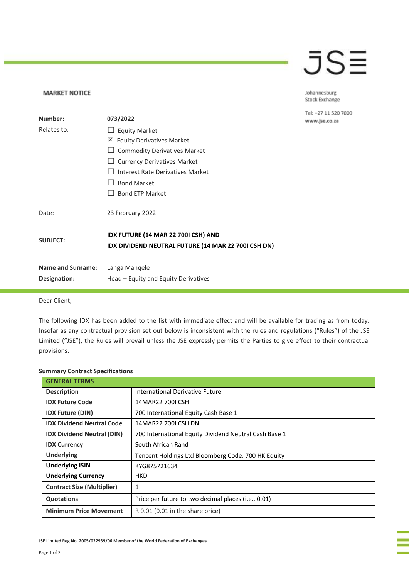## JSE

Johannesburg Stock Exchange

Tel: +27 11 520 7000 www.jse.co.za

| Number:                                  | 073/2022                                                                                                               |
|------------------------------------------|------------------------------------------------------------------------------------------------------------------------|
| Relates to:                              | <b>Equity Market</b><br>$\Box$<br>⊠ Equity Derivatives Market<br><b>Commodity Derivatives Market</b>                   |
|                                          | <b>Currency Derivatives Market</b><br>Interest Rate Derivatives Market<br><b>Bond Market</b><br><b>Bond ETP Market</b> |
| Date:                                    | 23 February 2022                                                                                                       |
| <b>SUBJECT:</b>                          | IDX FUTURE (14 MAR 22 700I CSH) AND<br>IDX DIVIDEND NEUTRAL FUTURE (14 MAR 22 700I CSH DN)                             |
| <b>Name and Surname:</b><br>Designation: | Langa Mangele<br>Head – Equity and Equity Derivatives                                                                  |

Dear Client,

**MARKET NOTICE** 

The following IDX has been added to the list with immediate effect and will be available for trading as from today. Insofar as any contractual provision set out below is inconsistent with the rules and regulations ("Rules") of the JSE Limited ("JSE"), the Rules will prevail unless the JSE expressly permits the Parties to give effect to their contractual provisions.

## **Summary Contract Specifications**

| <b>GENERAL TERMS</b>              |                                                       |
|-----------------------------------|-------------------------------------------------------|
| <b>Description</b>                | International Derivative Future                       |
| <b>IDX Future Code</b>            | 14MAR22 700LCSH                                       |
| <b>IDX Future (DIN)</b>           | 700 International Equity Cash Base 1                  |
| <b>IDX Dividend Neutral Code</b>  | 14MAR22 700LCSH DN                                    |
| <b>IDX Dividend Neutral (DIN)</b> | 700 International Equity Dividend Neutral Cash Base 1 |
| <b>IDX Currency</b>               | South African Rand                                    |
| <b>Underlying</b>                 | Tencent Holdings Ltd Bloomberg Code: 700 HK Equity    |
| <b>Underlying ISIN</b>            | KYG875721634                                          |
| <b>Underlying Currency</b>        | HKD                                                   |
| <b>Contract Size (Multiplier)</b> | 1                                                     |
| <b>Quotations</b>                 | Price per future to two decimal places (i.e., 0.01)   |
| <b>Minimum Price Movement</b>     | R 0.01 (0.01 in the share price)                      |